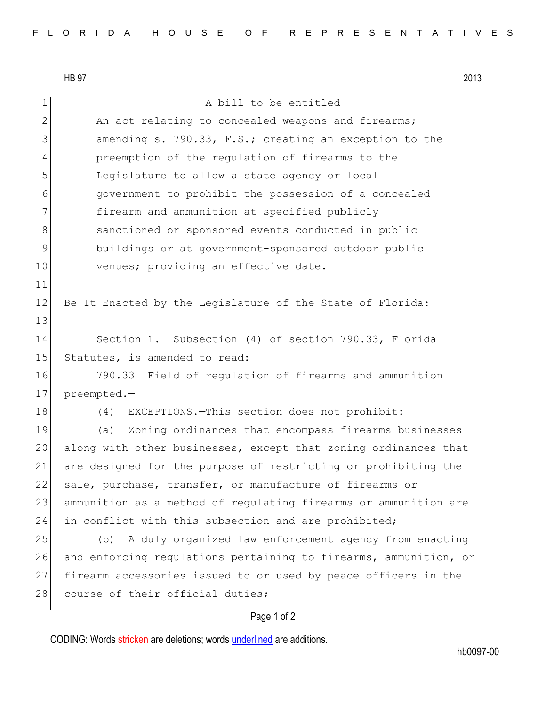HB 97 2013 1 a bill to be entitled 2 An act relating to concealed weapons and firearms; 3 amending s. 790.33, F.S.; creating an exception to the 4 preemption of the regulation of firearms to the 5 Legislature to allow a state agency or local 6 government to prohibit the possession of a concealed 7 **firearm and ammunition at specified publicly** 8 sanctioned or sponsored events conducted in public 9 buildings or at government-sponsored outdoor public 10 venues; providing an effective date. 11 12 Be It Enacted by the Legislature of the State of Florida: 13 14 Section 1. Subsection (4) of section 790.33, Florida 15 Statutes, is amended to read: 16 790.33 Field of regulation of firearms and ammunition 17 preempted.-18 (4) EXCEPTIONS. - This section does not prohibit: 19 (a) Zoning ordinances that encompass firearms businesses 20 along with other businesses, except that zoning ordinances that 21 are designed for the purpose of restricting or prohibiting the 22 sale, purchase, transfer, or manufacture of firearms or 23 ammunition as a method of regulating firearms or ammunition are 24 in conflict with this subsection and are prohibited; 25 (b) A duly organized law enforcement agency from enacting 26 and enforcing regulations pertaining to firearms, ammunition, or 27 firearm accessories issued to or used by peace officers in the 28 course of their official duties;

## Page 1 of 2

CODING: Words stricken are deletions; words underlined are additions.

hb0097-00